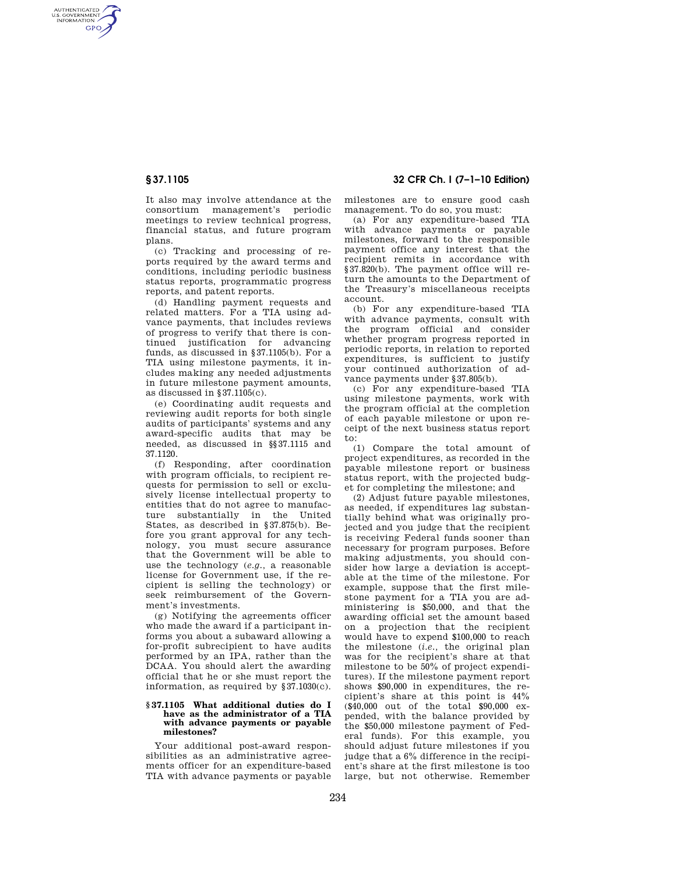AUTHENTICATED<br>U.S. GOVERNMENT<br>INFORMATION **GPO** 

> It also may involve attendance at the consortium management's periodic meetings to review technical progress, financial status, and future program plans.

> (c) Tracking and processing of reports required by the award terms and conditions, including periodic business status reports, programmatic progress reports, and patent reports.

> (d) Handling payment requests and related matters. For a TIA using advance payments, that includes reviews of progress to verify that there is continued justification for advancing funds, as discussed in §37.1105(b). For a TIA using milestone payments, it includes making any needed adjustments in future milestone payment amounts, as discussed in §37.1105(c).

> (e) Coordinating audit requests and reviewing audit reports for both single audits of participants' systems and any award-specific audits that may be needed, as discussed in §§37.1115 and 37.1120.

> (f) Responding, after coordination with program officials, to recipient requests for permission to sell or exclusively license intellectual property to entities that do not agree to manufacture substantially in the United States, as described in §37.875(b). Before you grant approval for any technology, you must secure assurance that the Government will be able to use the technology (*e.g.,* a reasonable license for Government use, if the recipient is selling the technology) or seek reimbursement of the Government's investments.

> (g) Notifying the agreements officer who made the award if a participant informs you about a subaward allowing a for-profit subrecipient to have audits performed by an IPA, rather than the DCAA. You should alert the awarding official that he or she must report the information, as required by §37.1030(c).

### **§ 37.1105 What additional duties do I have as the administrator of a TIA with advance payments or payable milestones?**

Your additional post-award responsibilities as an administrative agreements officer for an expenditure-based TIA with advance payments or payable

**§ 37.1105 32 CFR Ch. I (7–1–10 Edition)** 

milestones are to ensure good cash management. To do so, you must:

(a) For any expenditure-based TIA with advance payments or payable milestones, forward to the responsible payment office any interest that the recipient remits in accordance with §37.820(b). The payment office will return the amounts to the Department of the Treasury's miscellaneous receipts account.

(b) For any expenditure-based TIA with advance payments, consult with the program official and consider whether program progress reported in periodic reports, in relation to reported expenditures, is sufficient to justify your continued authorization of advance payments under §37.805(b).

(c) For any expenditure-based TIA using milestone payments, work with the program official at the completion of each payable milestone or upon receipt of the next business status report to:

(1) Compare the total amount of project expenditures, as recorded in the payable milestone report or business status report, with the projected budget for completing the milestone; and

(2) Adjust future payable milestones, as needed, if expenditures lag substantially behind what was originally projected and you judge that the recipient is receiving Federal funds sooner than necessary for program purposes. Before making adjustments, you should consider how large a deviation is acceptable at the time of the milestone. For example, suppose that the first milestone payment for a TIA you are administering is \$50,000, and that the awarding official set the amount based on a projection that the recipient would have to expend \$100,000 to reach the milestone (*i.e.,* the original plan was for the recipient's share at that milestone to be 50% of project expenditures). If the milestone payment report shows \$90,000 in expenditures, the recipient's share at this point is 44% (\$40,000 out of the total \$90,000 expended, with the balance provided by the \$50,000 milestone payment of Federal funds). For this example, you should adjust future milestones if you judge that a 6% difference in the recipient's share at the first milestone is too large, but not otherwise. Remember